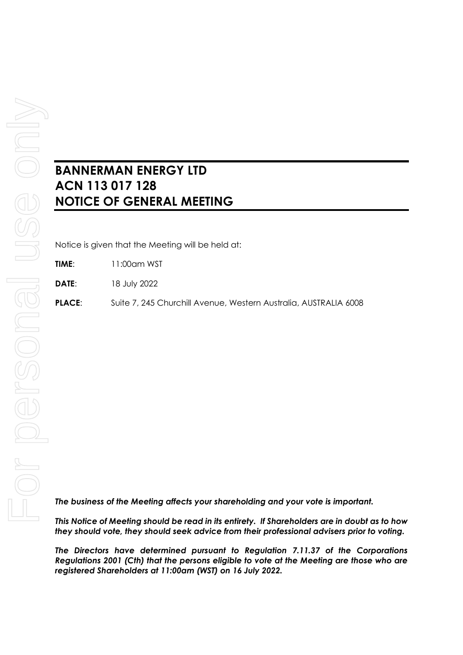## **BANNERMAN ENERGY LTD ACN 113 017 128 NOTICE OF GENERAL MEETING**

Notice is given that the Meeting will be held at:

**TIME**: 11:00am WST

**DATE**: 18 July 2022

**PLACE**: Suite 7, 245 Churchill Avenue, Western Australia, AUSTRALIA 6008

*The business of the Meeting affects your shareholding and your vote is important.*

*This Notice of Meeting should be read in its entirety. If Shareholders are in doubt as to how they should vote, they should seek advice from their professional advisers prior to voting.*

*The Directors have determined pursuant to Regulation 7.11.37 of the Corporations Regulations 2001 (Cth) that the persons eligible to vote at the Meeting are those who are registered Shareholders at 11:00am (WST) on 16 July 2022.*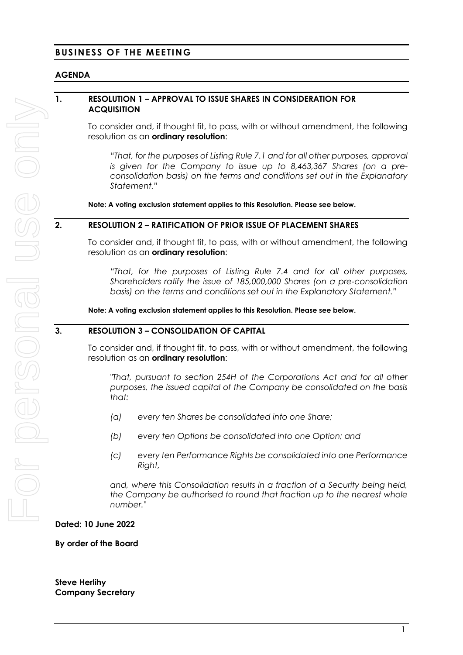## **BUSINESS OF THE MEETING**

## **AGENDA**

## **1. RESOLUTION 1 – APPROVAL TO ISSUE SHARES IN CONSIDERATION FOR ACQUISITION**

To consider and, if thought fit, to pass, with or without amendment, the following resolution as an **ordinary resolution**:

*"That, for the purposes of Listing Rule 7.1 and for all other purposes, approval is given for the Company to issue up to 8,463,367 Shares (on a preconsolidation basis) on the terms and conditions set out in the Explanatory Statement."*

**Note: A voting exclusion statement applies to this Resolution. Please see below.**

#### **2. RESOLUTION 2 – RATIFICATION OF PRIOR ISSUE OF PLACEMENT SHARES**

To consider and, if thought fit, to pass, with or without amendment, the following resolution as an **ordinary resolution**:

*"That, for the purposes of Listing Rule 7.4 and for all other purposes, Shareholders ratify the issue of 185,000,000 Shares (on a pre-consolidation basis) on the terms and conditions set out in the Explanatory Statement."*

**Note: A voting exclusion statement applies to this Resolution. Please see below.**

## **3. RESOLUTION 3 – CONSOLIDATION OF CAPITAL**

To consider and, if thought fit, to pass, with or without amendment, the following resolution as an **ordinary resolution**:

*"That, pursuant to section 254H of the Corporations Act and for all other purposes, the issued capital of the Company be consolidated on the basis that:* 

- *(a) every ten Shares be consolidated into one Share;*
- *(b) every ten Options be consolidated into one Option; and*
- *(c) every ten Performance Rights be consolidated into one Performance Right,*

*and, where this Consolidation results in a fraction of a Security being held, the Company be authorised to round that fraction up to the nearest whole number."*

**Dated: 10 June 2022**

**By order of the Board**

**Steve Herlihy Company Secretary**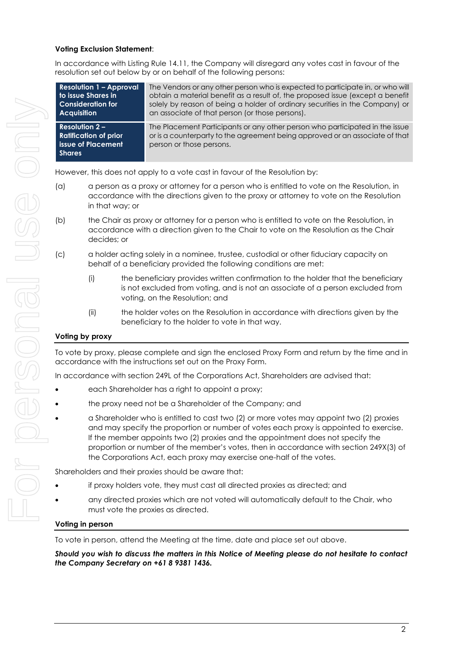#### **Voting Exclusion Statement**:

In accordance with Listing Rule 14.11, the Company will disregard any votes cast in favour of the resolution set out below by or on behalf of the following persons:

**Resolution 1 – Approval to issue Shares in Consideration for Acquisition** The Vendors or any other person who is expected to participate in, or who will obtain a material benefit as a result of, the proposed issue (except a benefit solely by reason of being a holder of ordinary securities in the Company) or an associate of that person (or those persons). **Resolution 2 – Ratification of prior issue of Placement Shares** The Placement Participants or any other person who participated in the issue or is a counterparty to the agreement being approved or an associate of that person or those persons.

However, this does not apply to a vote cast in favour of the Resolution by:

- (a) a person as a proxy or attorney for a person who is entitled to vote on the Resolution, in accordance with the directions given to the proxy or attorney to vote on the Resolution in that way; or
- (b) the Chair as proxy or attorney for a person who is entitled to vote on the Resolution, in accordance with a direction given to the Chair to vote on the Resolution as the Chair decides; or
- (c) a holder acting solely in a nominee, trustee, custodial or other fiduciary capacity on behalf of a beneficiary provided the following conditions are met:
	- (i) the beneficiary provides written confirmation to the holder that the beneficiary is not excluded from voting, and is not an associate of a person excluded from voting, on the Resolution; and
	- (ii) the holder votes on the Resolution in accordance with directions given by the beneficiary to the holder to vote in that way.

#### **Voting by proxy**

To vote by proxy, please complete and sign the enclosed Proxy Form and return by the time and in accordance with the instructions set out on the Proxy Form.

In accordance with section 249L of the Corporations Act, Shareholders are advised that:

- each Shareholder has a right to appoint a proxy;
- the proxy need not be a Shareholder of the Company; and
- a Shareholder who is entitled to cast two (2) or more votes may appoint two (2) proxies and may specify the proportion or number of votes each proxy is appointed to exercise. If the member appoints two (2) proxies and the appointment does not specify the proportion or number of the member's votes, then in accordance with section 249X(3) of the Corporations Act, each proxy may exercise one-half of the votes.

Shareholders and their proxies should be aware that:

- if proxy holders vote, they must cast all directed proxies as directed; and
- any directed proxies which are not voted will automatically default to the Chair, who must vote the proxies as directed.

#### **Voting in person**

To vote in person, attend the Meeting at the time, date and place set out above.

*Should you wish to discuss the matters in this Notice of Meeting please do not hesitate to contact the Company Secretary on +61 8 9381 1436.*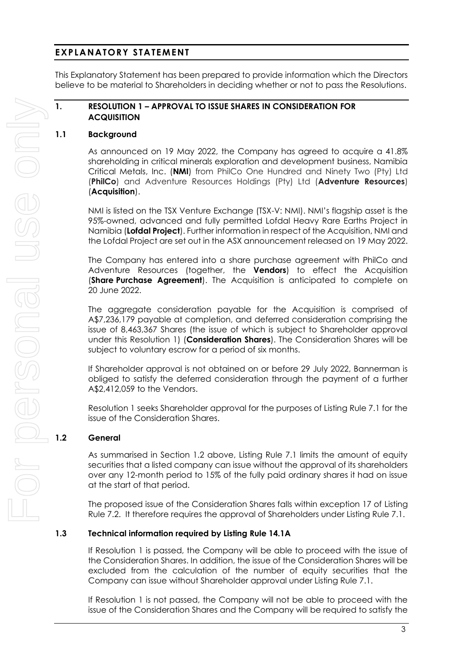## **EXPLANATORY STATEMENT**

This Explanatory Statement has been prepared to provide information which the Directors believe to be material to Shareholders in deciding whether or not to pass the Resolutions.

#### **1. RESOLUTION 1 – APPROVAL TO ISSUE SHARES IN CONSIDERATION FOR ACQUISITION**

## **1.1 Background**

As announced on 19 May 2022, the Company has agreed to acquire a 41.8% shareholding in critical minerals exploration and development business, Namibia Critical Metals, Inc. (**NMI**) from PhilCo One Hundred and Ninety Two (Pty) Ltd (**PhilCo**) and Adventure Resources Holdings (Pty) Ltd (**Adventure Resources**) (**Acquisition**).

NMI is listed on the TSX Venture Exchange (TSX-V: NMI). NMI's flagship asset is the 95%-owned, advanced and fully permitted Lofdal Heavy Rare Earths Project in Namibia (**Lofdal Project**). Further information in respect of the Acquisition, NMI and the Lofdal Project are set out in the ASX announcement released on 19 May 2022.

The Company has entered into a share purchase agreement with PhilCo and Adventure Resources (together, the **Vendors**) to effect the Acquisition (**Share Purchase Agreement**). The Acquisition is anticipated to complete on 20 June 2022.

The aggregate consideration payable for the Acquisition is comprised of A\$7,236,179 payable at completion, and deferred consideration comprising the issue of 8,463,367 Shares (the issue of which is subject to Shareholder approval under this Resolution 1) (**Consideration Shares**). The Consideration Shares will be subject to voluntary escrow for a period of six months.

If Shareholder approval is not obtained on or before 29 July 2022, Bannerman is obliged to satisfy the deferred consideration through the payment of a further A\$2,412,059 to the Vendors.

Resolution 1 seeks Shareholder approval for the purposes of Listing Rule 7.1 for the issue of the Consideration Shares.

#### **1.2 General**

As summarised in Section 1.2 above, Listing Rule 7.1 limits the amount of equity securities that a listed company can issue without the approval of its shareholders over any 12-month period to 15% of the fully paid ordinary shares it had on issue at the start of that period.

The proposed issue of the Consideration Shares falls within exception 17 of Listing Rule 7.2. It therefore requires the approval of Shareholders under Listing Rule 7.1.

#### **1.3 Technical information required by Listing Rule 14.1A**

If Resolution 1 is passed, the Company will be able to proceed with the issue of the Consideration Shares. In addition, the issue of the Consideration Shares will be excluded from the calculation of the number of equity securities that the Company can issue without Shareholder approval under Listing Rule 7.1.

If Resolution 1 is not passed, the Company will not be able to proceed with the issue of the Consideration Shares and the Company will be required to satisfy the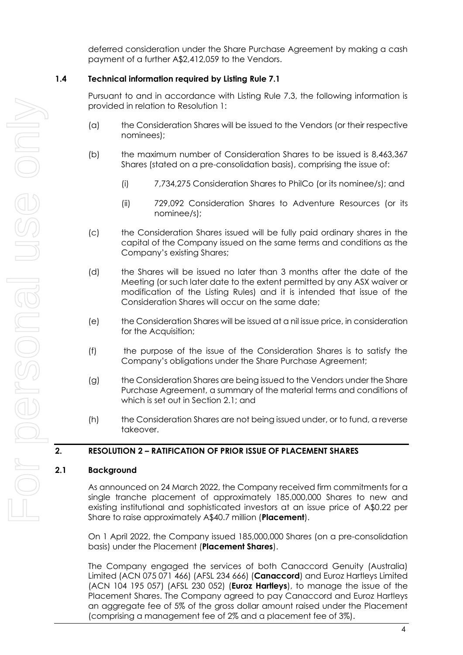deferred consideration under the Share Purchase Agreement by making a cash payment of a further A\$2,412,059 to the Vendors.

## **1.4 Technical information required by Listing Rule 7.1**

Pursuant to and in accordance with Listing Rule 7.3, the following information is provided in relation to Resolution 1:

- (a) the Consideration Shares will be issued to the Vendors (or their respective nominees);
- (b) the maximum number of Consideration Shares to be issued is 8,463,367 Shares (stated on a pre-consolidation basis), comprising the issue of:
	- (i) 7,734,275 Consideration Shares to PhilCo (or its nominee/s); and
	- (ii) 729,092 Consideration Shares to Adventure Resources (or its nominee/s);
- (c) the Consideration Shares issued will be fully paid ordinary shares in the capital of the Company issued on the same terms and conditions as the Company's existing Shares;
- (d) the Shares will be issued no later than 3 months after the date of the Meeting (or such later date to the extent permitted by any ASX waiver or modification of the Listing Rules) and it is intended that issue of the Consideration Shares will occur on the same date;
- (e) the Consideration Shares will be issued at a nil issue price, in consideration for the Acquisition;
- (f) the purpose of the issue of the Consideration Shares is to satisfy the Company's obligations under the Share Purchase Agreement;
- (g) the Consideration Shares are being issued to the Vendors under the Share Purchase Agreement, a summary of the material terms and conditions of which is set out in Section 2.1; and
- (h) the Consideration Shares are not being issued under, or to fund, a reverse takeover.

## **2. RESOLUTION 2 – RATIFICATION OF PRIOR ISSUE OF PLACEMENT SHARES**

#### **2.1 Background**

As announced on 24 March 2022, the Company received firm commitments for a single tranche placement of approximately 185,000,000 Shares to new and existing institutional and sophisticated investors at an issue price of A\$0.22 per Share to raise approximately A\$40.7 million (**Placement**).

On 1 April 2022, the Company issued 185,000,000 Shares (on a pre-consolidation basis) under the Placement (**Placement Shares**).

The Company engaged the services of both Canaccord Genuity (Australia) Limited (ACN 075 071 466) (AFSL 234 666) (**Canaccord**) and Euroz Hartleys Limited (ACN 104 195 057) (AFSL 230 052) (**Euroz Hartleys**), to manage the issue of the Placement Shares. The Company agreed to pay Canaccord and Euroz Hartleys an aggregate fee of 5% of the gross dollar amount raised under the Placement (comprising a management fee of 2% and a placement fee of 3%).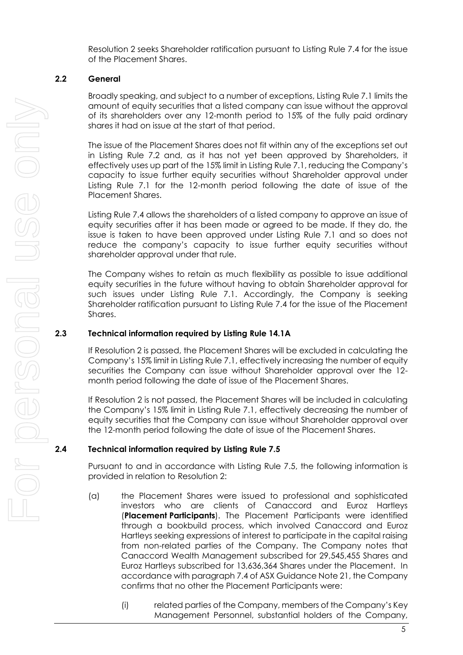Resolution 2 seeks Shareholder ratification pursuant to Listing Rule 7.4 for the issue of the Placement Shares.

## **2.2 General**

Broadly speaking, and subject to a number of exceptions, Listing Rule 7.1 limits the amount of equity securities that a listed company can issue without the approval of its shareholders over any 12-month period to 15% of the fully paid ordinary shares it had on issue at the start of that period.

The issue of the Placement Shares does not fit within any of the exceptions set out in Listing Rule 7.2 and, as it has not yet been approved by Shareholders, it effectively uses up part of the 15% limit in Listing Rule 7.1, reducing the Company's capacity to issue further equity securities without Shareholder approval under Listing Rule 7.1 for the 12-month period following the date of issue of the Placement Shares.

Listing Rule 7.4 allows the shareholders of a listed company to approve an issue of equity securities after it has been made or agreed to be made. If they do, the issue is taken to have been approved under Listing Rule 7.1 and so does not reduce the company's capacity to issue further equity securities without shareholder approval under that rule.

The Company wishes to retain as much flexibility as possible to issue additional equity securities in the future without having to obtain Shareholder approval for such issues under Listing Rule 7.1. Accordingly, the Company is seeking Shareholder ratification pursuant to Listing Rule 7.4 for the issue of the Placement Shares.

## **2.3 Technical information required by Listing Rule 14.1A**

If Resolution 2 is passed, the Placement Shares will be excluded in calculating the Company's 15% limit in Listing Rule 7.1, effectively increasing the number of equity securities the Company can issue without Shareholder approval over the 12 month period following the date of issue of the Placement Shares.

If Resolution 2 is not passed, the Placement Shares will be included in calculating the Company's 15% limit in Listing Rule 7.1, effectively decreasing the number of equity securities that the Company can issue without Shareholder approval over the 12-month period following the date of issue of the Placement Shares.

#### **2.4 Technical information required by Listing Rule 7.5**

Pursuant to and in accordance with Listing Rule 7.5, the following information is provided in relation to Resolution 2:

- (a) the Placement Shares were issued to professional and sophisticated investors who are clients of Canaccord and Euroz Hartleys (**Placement Participants**). The Placement Participants were identified through a bookbuild process, which involved Canaccord and Euroz Hartleys seeking expressions of interest to participate in the capital raising from non-related parties of the Company. The Company notes that Canaccord Wealth Management subscribed for 29,545,455 Shares and Euroz Hartleys subscribed for 13,636,364 Shares under the Placement. In accordance with paragraph 7.4 of ASX Guidance Note 21, the Company confirms that no other the Placement Participants were:
	- (i) related parties of the Company, members of the Company's Key Management Personnel, substantial holders of the Company,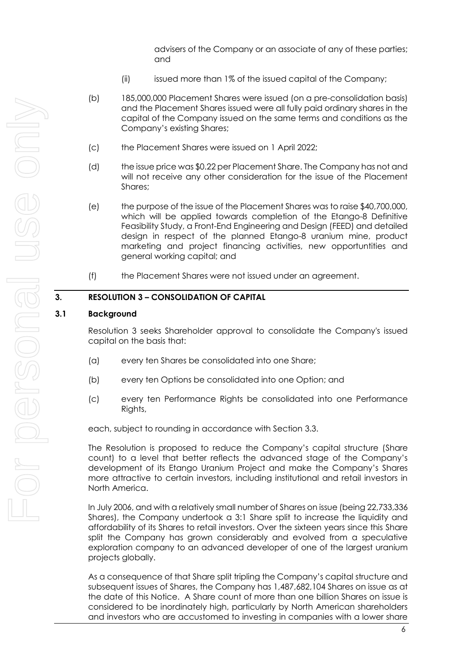advisers of the Company or an associate of any of these parties; and

- (ii) issued more than 1% of the issued capital of the Company;
- (b) 185,000,000 Placement Shares were issued (on a pre-consolidation basis) and the Placement Shares issued were all fully paid ordinary shares in the capital of the Company issued on the same terms and conditions as the Company's existing Shares;
- (c) the Placement Shares were issued on 1 April 2022;
- (d) the issue price was \$0.22 per Placement Share. The Company has not and will not receive any other consideration for the issue of the Placement Shares;
- (e) the purpose of the issue of the Placement Shares was to raise \$40,700,000, which will be applied towards completion of the Etango-8 Definitive Feasibility Study, a Front-End Engineering and Design (FEED) and detailed design in respect of the planned Etango-8 uranium mine, product marketing and project financing activities, new opportuntities and general working capital; and
- (f) the Placement Shares were not issued under an agreement.

#### **3. RESOLUTION 3 – CONSOLIDATION OF CAPITAL**

#### **3.1 Background**

Resolution 3 seeks Shareholder approval to consolidate the Company's issued capital on the basis that:

- (a) every ten Shares be consolidated into one Share;
- (b) every ten Options be consolidated into one Option; and
- (c) every ten Performance Rights be consolidated into one Performance Rights,

each, subject to rounding in accordance with Section [3.3.](#page-7-0)

The Resolution is proposed to reduce the Company's capital structure (Share count) to a level that better reflects the advanced stage of the Company's development of its Etango Uranium Project and make the Company's Shares more attractive to certain investors, including institutional and retail investors in North America.

In July 2006, and with a relatively small number of Shares on issue (being 22,733,336 Shares), the Company undertook a 3:1 Share split to increase the liquidity and affordability of its Shares to retail investors. Over the sixteen years since this Share split the Company has grown considerably and evolved from a speculative exploration company to an advanced developer of one of the largest uranium projects globally.

As a consequence of that Share split tripling the Company's capital structure and subsequent issues of Shares, the Company has 1,487,682,104 Shares on issue as at the date of this Notice. A Share count of more than one billion Shares on issue is considered to be inordinately high, particularly by North American shareholders and investors who are accustomed to investing in companies with a lower share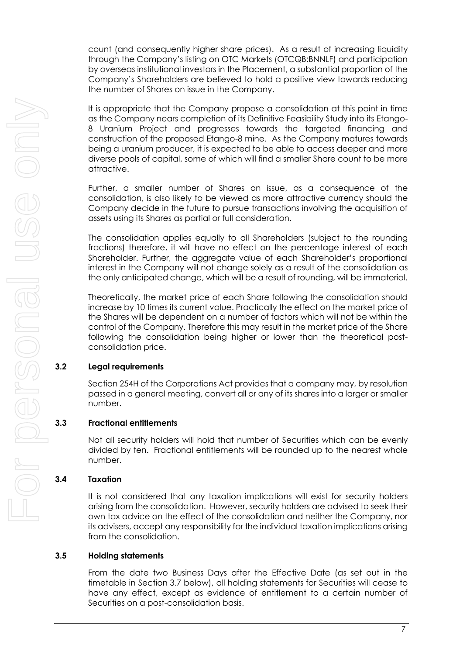count (and consequently higher share prices). As a result of increasing liquidity through the Company's listing on OTC Markets (OTCQB:BNNLF) and participation by overseas institutional investors in the Placement, a substantial proportion of the Company's Shareholders are believed to hold a positive view towards reducing the number of Shares on issue in the Company.

It is appropriate that the Company propose a consolidation at this point in time as the Company nears completion of its Definitive Feasibility Study into its Etango-8 Uranium Project and progresses towards the targeted financing and construction of the proposed Etango-8 mine. As the Company matures towards being a uranium producer, it is expected to be able to access deeper and more diverse pools of capital, some of which will find a smaller Share count to be more attractive.

Further, a smaller number of Shares on issue, as a consequence of the consolidation, is also likely to be viewed as more attractive currency should the Company decide in the future to pursue transactions involving the acquisition of assets using its Shares as partial or full consideration.

The consolidation applies equally to all Shareholders (subject to the rounding fractions) therefore, it will have no effect on the percentage interest of each Shareholder. Further, the aggregate value of each Shareholder's proportional interest in the Company will not change solely as a result of the consolidation as the only anticipated change, which will be a result of rounding, will be immaterial.

Theoretically, the market price of each Share following the consolidation should increase by 10 times its current value. Practically the effect on the market price of the Shares will be dependent on a number of factors which will not be within the control of the Company. Therefore this may result in the market price of the Share following the consolidation being higher or lower than the theoretical postconsolidation price.

## **3.2 Legal requirements**

Section 254H of the Corporations Act provides that a company may, by resolution passed in a general meeting, convert all or any of its shares into a larger or smaller number.

## <span id="page-7-0"></span>**3.3 Fractional entitlements**

Not all security holders will hold that number of Securities which can be evenly divided by ten. Fractional entitlements will be rounded up to the nearest whole number.

## **3.4 Taxation**

It is not considered that any taxation implications will exist for security holders arising from the consolidation. However, security holders are advised to seek their own tax advice on the effect of the consolidation and neither the Company, nor its advisers, accept any responsibility for the individual taxation implications arising from the consolidation.

## **3.5 Holding statements**

From the date two Business Days after the Effective Date (as set out in the timetable in Section [3.7](#page-8-0) below), all holding statements for Securities will cease to have any effect, except as evidence of entitlement to a certain number of Securities on a post-consolidation basis.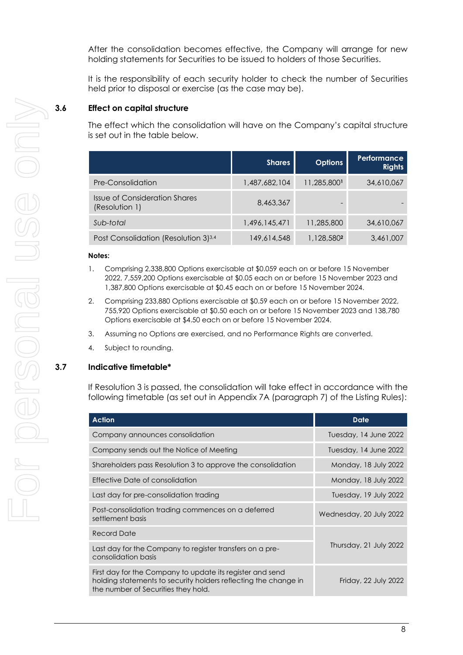After the consolidation becomes effective, the Company will arrange for new holding statements for Securities to be issued to holders of those Securities.

It is the responsibility of each security holder to check the number of Securities held prior to disposal or exercise (as the case may be).

## **3.6 Effect on capital structure**

The effect which the consolidation will have on the Company's capital structure is set out in the table below.

|                                                  | <b>Shares</b> | <b>Options</b> | <b>Performance</b><br><b>Rights</b> |
|--------------------------------------------------|---------------|----------------|-------------------------------------|
| Pre-Consolidation                                | 1,487,682,104 | 11,285,8001    | 34,610,067                          |
| Issue of Consideration Shares<br>(Resolution 1)  | 8,463,367     |                |                                     |
| Sub-total                                        | 1,496,145,471 | 11,285,800     | 34,610,067                          |
| Post Consolidation (Resolution 3) <sup>3,4</sup> | 149,614,548   | 1,128,5802     | 3,461,007                           |

#### **Notes:**

- 1. Comprising 2,338,800 Options exercisable at \$0.059 each on or before 15 November 2022, 7,559,200 Options exercisable at \$0.05 each on or before 15 November 2023 and 1,387,800 Options exercisable at \$0.45 each on or before 15 November 2024.
- 2. Comprising 233,880 Options exercisable at \$0.59 each on or before 15 November 2022, 755,920 Options exercisable at \$0.50 each on or before 15 November 2023 and 138,780 Options exercisable at \$4.50 each on or before 15 November 2024.
- 3. Assuming no Options are exercised, and no Performance Rights are converted.
- 4. Subject to rounding.

#### <span id="page-8-0"></span>**3.7 Indicative timetable\***

If Resolution 3 is passed, the consolidation will take effect in accordance with the following timetable (as set out in Appendix 7A (paragraph 7) of the Listing Rules):

| <b>Action</b>                                                                                                                                                       | Date                    |  |
|---------------------------------------------------------------------------------------------------------------------------------------------------------------------|-------------------------|--|
| Company announces consolidation                                                                                                                                     | Tuesday, 14 June 2022   |  |
| Company sends out the Notice of Meeting                                                                                                                             | Tuesday, 14 June 2022   |  |
| Shareholders pass Resolution 3 to approve the consolidation                                                                                                         | Monday, 18 July 2022    |  |
| Effective Date of consolidation                                                                                                                                     | Monday, 18 July 2022    |  |
| Last day for pre-consolidation trading                                                                                                                              | Tuesday, 19 July 2022   |  |
| Post-consolidation trading commences on a deferred<br>settlement basis                                                                                              | Wednesday, 20 July 2022 |  |
| <b>Record Date</b>                                                                                                                                                  |                         |  |
| Last day for the Company to register transfers on a pre-<br>consolidation basis                                                                                     | Thursday, 21 July 2022  |  |
| First day for the Company to update its register and send<br>holding statements to security holders reflecting the change in<br>the number of Securities they hold. | Friday, 22 July 2022    |  |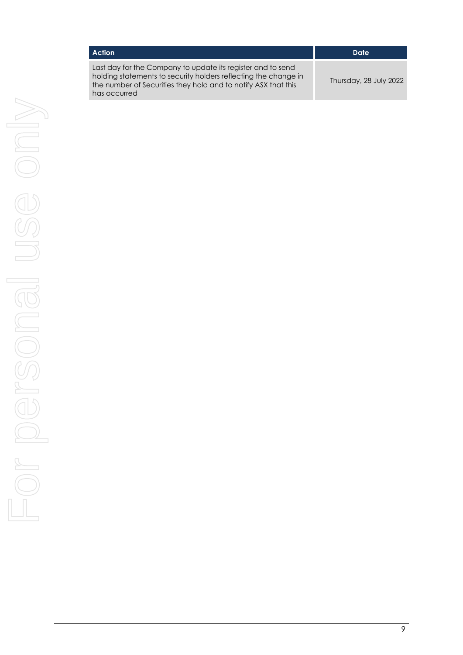| <b>Action</b>                                                                                                                                                                                                    | Date                   |
|------------------------------------------------------------------------------------------------------------------------------------------------------------------------------------------------------------------|------------------------|
| Last day for the Company to update its register and to send<br>holding statements to security holders reflecting the change in<br>the number of Securities they hold and to notify ASX that this<br>has occurred | Thursday, 28 July 2022 |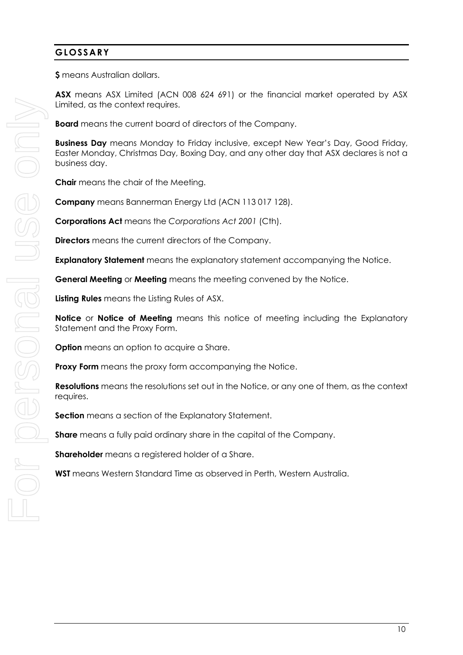## **GLOSSARY**

**\$** means Australian dollars.

**ASX** means ASX Limited (ACN 008 624 691) or the financial market operated by ASX Limited, as the context requires.

**Board** means the current board of directors of the Company.

**Business Day** means Monday to Friday inclusive, except New Year's Day, Good Friday, Easter Monday, Christmas Day, Boxing Day, and any other day that ASX declares is not a business day.

**Chair** means the chair of the Meeting.

**Company** means Bannerman Energy Ltd (ACN 113 017 128).

**Corporations Act** means the *Corporations Act 2001* (Cth).

**Directors** means the current directors of the Company.

**Explanatory Statement** means the explanatory statement accompanying the Notice.

**General Meeting** or **Meeting** means the meeting convened by the Notice.

**Listing Rules** means the Listing Rules of ASX.

**Notice** or **Notice of Meeting** means this notice of meeting including the Explanatory Statement and the Proxy Form.

**Option** means an option to acquire a Share.

**Proxy Form** means the proxy form accompanying the Notice.

**Resolutions** means the resolutions set out in the Notice, or any one of them, as the context requires.

**Section** means a section of the Explanatory Statement.

**Share** means a fully paid ordinary share in the capital of the Company.

**Shareholder** means a registered holder of a Share.

**WST** means Western Standard Time as observed in Perth, Western Australia.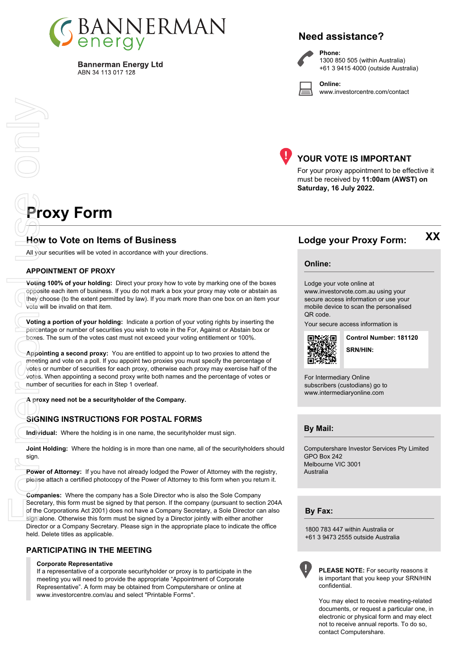

**Bannerman Energy Ltd** ABN 34 113 017 128

## **Need assistance?**



**Phone:** 1300 850 505 (within Australia) +61 3 9415 4000 (outside Australia)

**Online:** www.investorcentre.com/contact



## **YOUR VOTE IS IMPORTANT**

For your proxy appointment to be effective it must be received by **11:00am (AWST) on Saturday, 16 July 2022.**

# **Proxy Form**

Only

## **How to Vote on Items of Business Lodge your Proxy Form:**

All your securities will be voted in accordance with your directions.

#### **APPOINTMENT OF PROXY**

**Voting 100% of your holding:** Direct your proxy how to vote by marking one of the boxes opposite each item of business. If you do not mark a box your proxy may vote or abstain as they choose (to the extent permitted by law). If you mark more than one box on an item your vote will be invalid on that item.

**Voting a portion of your holding:** Indicate a portion of your voting rights by inserting the percentage or number of securities you wish to vote in the For, Against or Abstain box or boxes. The sum of the votes cast must not exceed your voting entitlement or 100%.

**Appointing a second proxy:** You are entitled to appoint up to two proxies to attend the meeting and vote on a poll. If you appoint two proxies you must specify the percentage of votes or number of securities for each proxy, otherwise each proxy may exercise half of the votes. When appointing a second proxy write both names and the percentage of votes or number of securities for each in Step 1 overleaf. For the Mail your<br>
All your<br>
APPOI<br>
Voting<br>
Vote will<br>
Vote will<br>
Prove the Vote will<br>
Prove the Compain<br>
Power<br>
Compain<br>
Sign.<br>
Power of please a<br>
Compain<br>
Sign.<br>
Power of please a<br>
Compain<br>
Sign.<br>
Power of the C<br>
Sign al

**A proxy need not be a securityholder of the Company.**

#### **SIGNING INSTRUCTIONS FOR POSTAL FORMS**

**Individual:** Where the holding is in one name, the securityholder must sign.

**Joint Holding:** Where the holding is in more than one name, all of the securityholders should sign.

**Power of Attorney:** If you have not already lodged the Power of Attorney with the registry, please attach a certified photocopy of the Power of Attorney to this form when you return it.

**Companies:** Where the company has a Sole Director who is also the Sole Company Secretary, this form must be signed by that person. If the company (pursuant to section 204A of the Corporations Act 2001) does not have a Company Secretary, a Sole Director can also sign alone. Otherwise this form must be signed by a Director jointly with either another Director or a Company Secretary. Please sign in the appropriate place to indicate the office held. Delete titles as applicable.

#### **PARTICIPATING IN THE MEETING**

#### **Corporate Representative**

If a representative of a corporate securityholder or proxy is to participate in the meeting you will need to provide the appropriate "Appointment of Corporate Representative". A form may be obtained from Computershare or online at www.investorcentre.com/au and select "Printable Forms".

**Online:**

#### Lodge your vote online at

www.investorvote.com.au using your secure access information or use your mobile device to scan the personalised QR code.

Your secure access information is



**SRN/HIN: Control Number: 181120** **XX**

For Intermediary Online subscribers (custodians) go to www.intermediaryonline.com

**By Mail:**

Computershare Investor Services Pty Limited GPO Box 242 Melbourne VIC 3001 Australia

**By Fax:**

1800 783 447 within Australia or +61 3 9473 2555 outside Australia



**PLEASE NOTE:** For security reasons it is important that you keep your SRN/HIN confidential.

You may elect to receive meeting-related documents, or request a particular one, in electronic or physical form and may elect not to receive annual reports. To do so, contact Computershare.